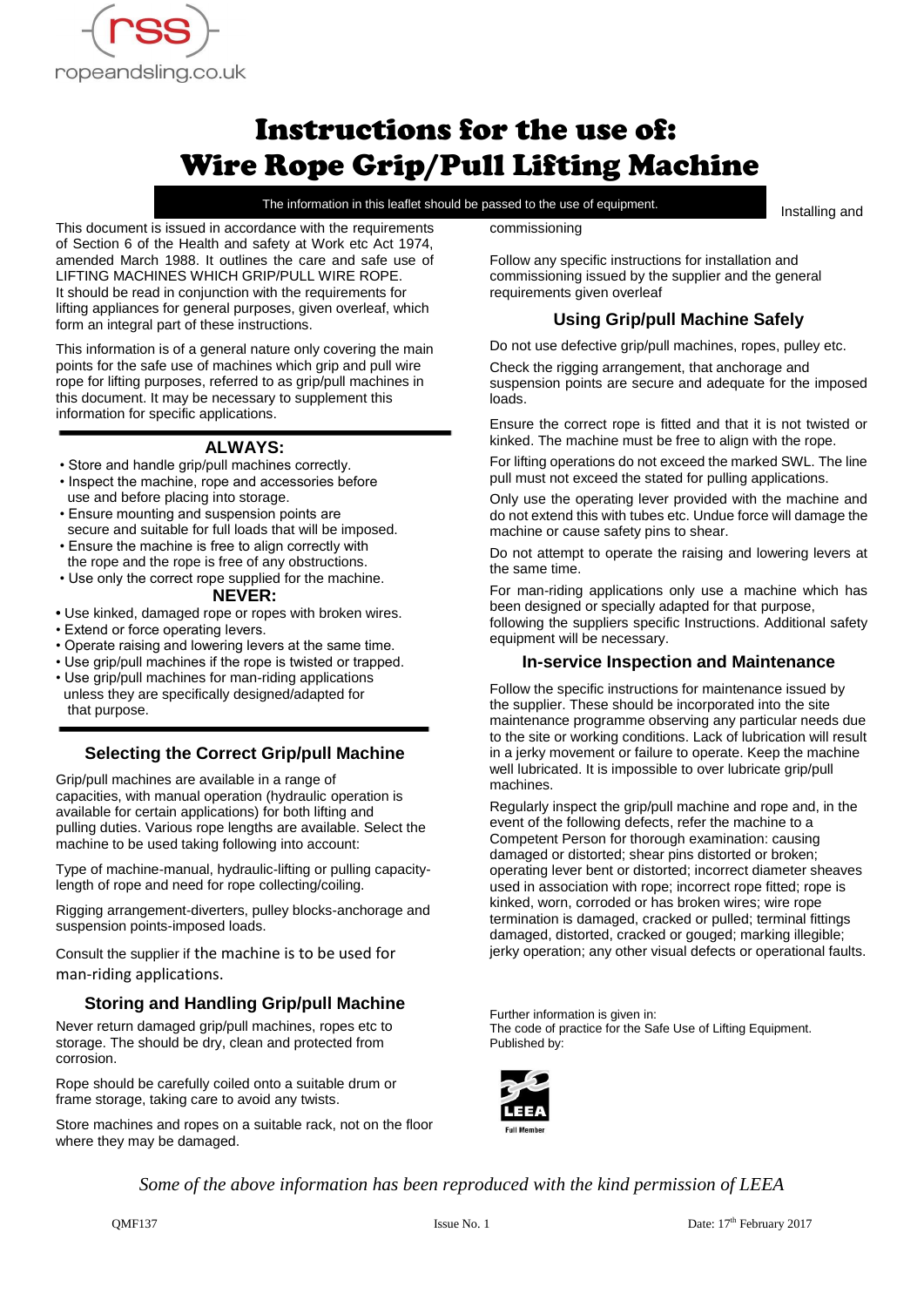

# Instructions for the use of: Wire Rope Grip/Pull Lifting Machine

The information in this leaflet should be passed to the use of equipment.

Installing and

This document is issued in accordance with the requirements of Section 6 of the Health and safety at Work etc Act 1974, amended March 1988. It outlines the care and safe use of LIFTING MACHINES WHICH GRIP/PULL WIRE ROPE. It should be read in conjunction with the requirements for lifting appliances for general purposes, given overleaf, which form an integral part of these instructions.

This information is of a general nature only covering the main points for the safe use of machines which grip and pull wire rope for lifting purposes, referred to as grip/pull machines in this document. It may be necessary to supplement this information for specific applications.

# **ALWAYS:**

- Store and handle grip/pull machines correctly.
- Inspect the machine, rope and accessories before use and before placing into storage.
- Ensure mounting and suspension points are secure and suitable for full loads that will be imposed.
- Ensure the machine is free to align correctly with the rope and the rope is free of any obstructions.
- Use only the correct rope supplied for the machine. **NEVER:**
- **•** Use kinked, damaged rope or ropes with broken wires.
- Extend or force operating levers.
- Operate raising and lowering levers at the same time.
- Use grip/pull machines if the rope is twisted or trapped.
- Use grip/pull machines for man-riding applications unless they are specifically designed/adapted for that purpose.

# **Selecting the Correct Grip/pull Machine**

Grip/pull machines are available in a range of capacities, with manual operation (hydraulic operation is available for certain applications) for both lifting and pulling duties. Various rope lengths are available. Select the machine to be used taking following into account:

Type of machine-manual, hydraulic-lifting or pulling capacitylength of rope and need for rope collecting/coiling.

Rigging arrangement-diverters, pulley blocks-anchorage and suspension points-imposed loads.

Consult the supplier if the machine is to be used for man-riding applications.

# **Storing and Handling Grip/pull Machine**

Never return damaged grip/pull machines, ropes etc to storage. The should be dry, clean and protected from corrosion.

Rope should be carefully coiled onto a suitable drum or frame storage, taking care to avoid any twists.

Store machines and ropes on a suitable rack, not on the floor where they may be damaged.

commissioning

Follow any specific instructions for installation and commissioning issued by the supplier and the general requirements given overleaf

# **Using Grip/pull Machine Safely**

Do not use defective grip/pull machines, ropes, pulley etc.

Check the rigging arrangement, that anchorage and suspension points are secure and adequate for the imposed loads.

Ensure the correct rope is fitted and that it is not twisted or kinked. The machine must be free to align with the rope.

For lifting operations do not exceed the marked SWL. The line pull must not exceed the stated for pulling applications.

Only use the operating lever provided with the machine and do not extend this with tubes etc. Undue force will damage the machine or cause safety pins to shear.

Do not attempt to operate the raising and lowering levers at the same time.

For man-riding applications only use a machine which has been designed or specially adapted for that purpose, following the suppliers specific Instructions. Additional safety equipment will be necessary.

# **In-service Inspection and Maintenance**

Follow the specific instructions for maintenance issued by the supplier. These should be incorporated into the site maintenance programme observing any particular needs due to the site or working conditions. Lack of lubrication will result in a jerky movement or failure to operate. Keep the machine well lubricated. It is impossible to over lubricate grip/pull machines.

Regularly inspect the grip/pull machine and rope and, in the event of the following defects, refer the machine to a Competent Person for thorough examination: causing damaged or distorted; shear pins distorted or broken; operating lever bent or distorted; incorrect diameter sheaves used in association with rope; incorrect rope fitted; rope is kinked, worn, corroded or has broken wires; wire rope termination is damaged, cracked or pulled; terminal fittings damaged, distorted, cracked or gouged; marking illegible; jerky operation; any other visual defects or operational faults.

Further information is given in: The code of practice for the Safe Use of Lifting Equipment. Published by:



*Some of the above information has been reproduced with the kind permission of LEEA*